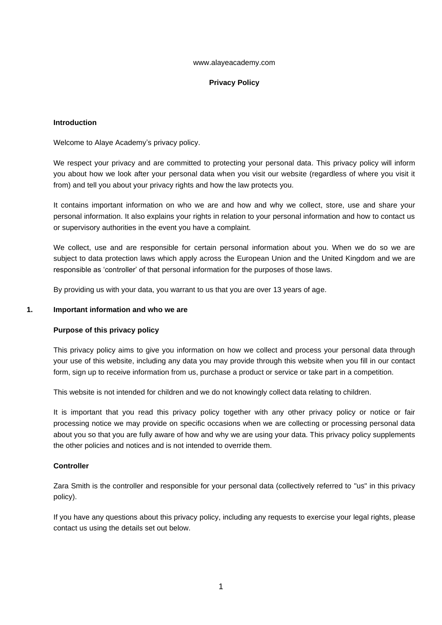#### www.alayeacademy.com

### **Privacy Policy**

### **Introduction**

Welcome to Alaye Academy's privacy policy.

We respect your privacy and are committed to protecting your personal data. This privacy policy will inform you about how we look after your personal data when you visit our website (regardless of where you visit it from) and tell you about your privacy rights and how the law protects you.

It contains important information on who we are and how and why we collect, store, use and share your personal information. It also explains your rights in relation to your personal information and how to contact us or supervisory authorities in the event you have a complaint.

We collect, use and are responsible for certain personal information about you. When we do so we are subject to data protection laws which apply across the European Union and the United Kingdom and we are responsible as 'controller' of that personal information for the purposes of those laws.

By providing us with your data, you warrant to us that you are over 13 years of age.

### **1. Important information and who we are**

## **Purpose of this privacy policy**

This privacy policy aims to give you information on how we collect and process your personal data through your use of this website, including any data you may provide through this website when you fill in our contact form, sign up to receive information from us, purchase a product or service or take part in a competition.

This website is not intended for children and we do not knowingly collect data relating to children.

It is important that you read this privacy policy together with any other privacy policy or notice or fair processing notice we may provide on specific occasions when we are collecting or processing personal data about you so that you are fully aware of how and why we are using your data. This privacy policy supplements the other policies and notices and is not intended to override them.

#### **Controller**

Zara Smith is the controller and responsible for your personal data (collectively referred to "us" in this privacy policy).

If you have any questions about this privacy policy, including any requests to exercise your legal rights, please contact us using the details set out below.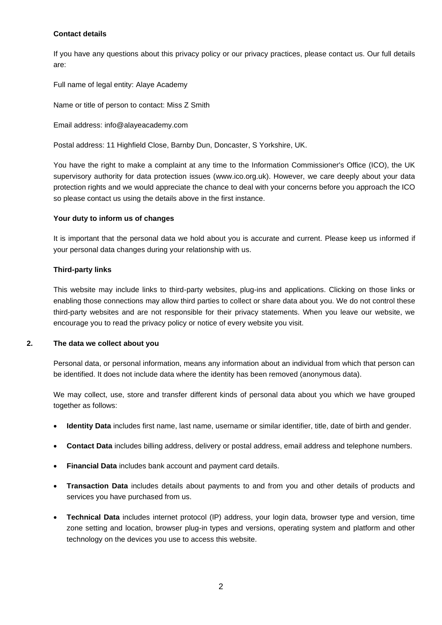# <span id="page-1-0"></span>**Contact details**

If you have any questions about this privacy policy or our privacy practices, please contact us. Our full details are:

Full name of legal entity: Alaye Academy

Name or title of person to contact: Miss Z Smith

Email address: info@alayeacademy.com

Postal address: 11 Highfield Close, Barnby Dun, Doncaster, S Yorkshire, UK.

You have the right to make a complaint at any time to the Information Commissioner's Office (ICO), the UK supervisory authority for data protection issues (www.ico.org.uk). However, we care deeply about your data protection rights and we would appreciate the chance to deal with your concerns before you approach the ICO so please contact us using the details above in the first instance.

# **Your duty to inform us of changes**

It is important that the personal data we hold about you is accurate and current. Please keep us informed if your personal data changes during your relationship with us.

# **Third-party links**

This website may include links to third-party websites, plug-ins and applications. Clicking on those links or enabling those connections may allow third parties to collect or share data about you. We do not control these third-party websites and are not responsible for their privacy statements. When you leave our website, we encourage you to read the privacy policy or notice of every website you visit.

## **2. The data we collect about you**

Personal data, or personal information, means any information about an individual from which that person can be identified. It does not include data where the identity has been removed (anonymous data).

We may collect, use, store and transfer different kinds of personal data about you which we have grouped together as follows:

- **Identity Data** includes first name, last name, username or similar identifier, title, date of birth and gender.
- **Contact Data** includes billing address, delivery or postal address, email address and telephone numbers.
- **Financial Data** includes bank account and payment card details.
- **Transaction Data** includes details about payments to and from you and other details of products and services you have purchased from us.
- **Technical Data** includes internet protocol (IP) address, your login data, browser type and version, time zone setting and location, browser plug-in types and versions, operating system and platform and other technology on the devices you use to access this website.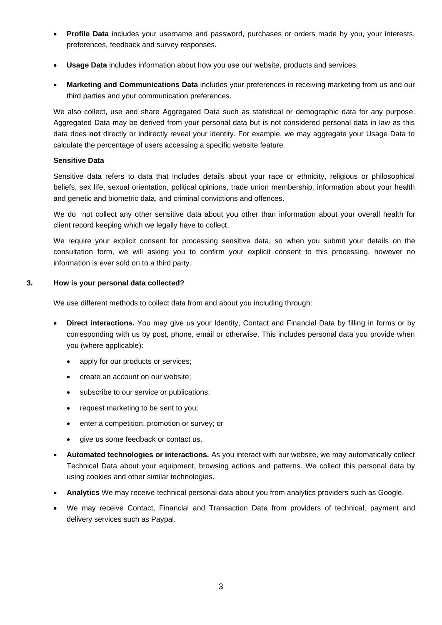- **Profile Data** includes your username and password, purchases or orders made by you, your interests, preferences, feedback and survey responses.
- **Usage Data** includes information about how you use our website, products and services.
- **Marketing and Communications Data** includes your preferences in receiving marketing from us and our third parties and your communication preferences.

We also collect, use and share Aggregated Data such as statistical or demographic data for any purpose. Aggregated Data may be derived from your personal data but is not considered personal data in law as this data does **not** directly or indirectly reveal your identity. For example, we may aggregate your Usage Data to calculate the percentage of users accessing a specific website feature.

## **Sensitive Data**

Sensitive data refers to data that includes details about your race or ethnicity, religious or philosophical beliefs, sex life, sexual orientation, political opinions, trade union membership, information about your health and genetic and biometric data, and criminal convictions and offences.

We do not collect any other sensitive data about you other than information about your overall health for client record keeping which we legally have to collect.

We require your explicit consent for processing sensitive data, so when you submit your details on the consultation form, we will asking you to confirm your explicit consent to this processing, however no information is ever sold on to a third party.

### **3. How is your personal data collected?**

We use different methods to collect data from and about you including through:

- **Direct interactions.** You may give us your Identity, Contact and Financial Data by filling in forms or by corresponding with us by post, phone, email or otherwise. This includes personal data you provide when you (where applicable):
	- apply for our products or services;
	- create an account on our website;
	- subscribe to our service or publications;
	- request marketing to be sent to you;
	- enter a competition, promotion or survey; or
	- give us some feedback or contact us.
- **Automated technologies or interactions.** As you interact with our website, we may automatically collect Technical Data about your equipment, browsing actions and patterns. We collect this personal data by using cookies and other similar technologies.
- **Analytics** We may receive technical personal data about you from analytics providers such as Google.
- We may receive Contact, Financial and Transaction Data from providers of technical, payment and delivery services such as Paypal.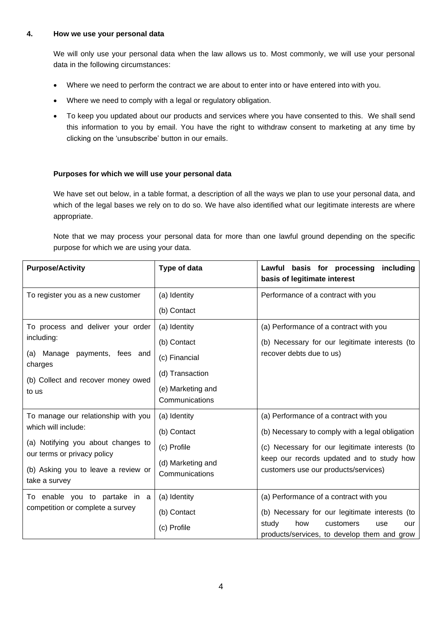## **4. How we use your personal data**

We will only use your personal data when the law allows us to. Most commonly, we will use your personal data in the following circumstances:

- Where we need to perform the contract we are about to enter into or have entered into with you.
- Where we need to comply with a legal or regulatory obligation.
- To keep you updated about our products and services where you have consented to this. We shall send this information to you by email. You have the right to withdraw consent to marketing at any time by clicking on the 'unsubscribe' button in our emails.

## **Purposes for which we will use your personal data**

We have set out below, in a table format, a description of all the ways we plan to use your personal data, and which of the legal bases we rely on to do so. We have also identified what our legitimate interests are where appropriate.

Note that we may process your personal data for more than one lawful ground depending on the specific purpose for which we are using your data.

| <b>Purpose/Activity</b>                                                                                                                                                                 | Type of data      | Lawful basis for processing<br>including<br>basis of legitimate interest          |
|-----------------------------------------------------------------------------------------------------------------------------------------------------------------------------------------|-------------------|-----------------------------------------------------------------------------------|
| To register you as a new customer                                                                                                                                                       | (a) Identity      | Performance of a contract with you                                                |
|                                                                                                                                                                                         | (b) Contact       |                                                                                   |
| To process and deliver your order<br>including:<br>(a) Manage payments, fees and<br>charges<br>(b) Collect and recover money owed<br>to us                                              | (a) Identity      | (a) Performance of a contract with you                                            |
|                                                                                                                                                                                         | (b) Contact       | (b) Necessary for our legitimate interests (to                                    |
|                                                                                                                                                                                         | (c) Financial     | recover debts due to us)                                                          |
|                                                                                                                                                                                         | (d) Transaction   |                                                                                   |
|                                                                                                                                                                                         | (e) Marketing and |                                                                                   |
|                                                                                                                                                                                         | Communications    |                                                                                   |
| To manage our relationship with you<br>which will include:<br>(a) Notifying you about changes to<br>our terms or privacy policy<br>(b) Asking you to leave a review or<br>take a survey | (a) Identity      | (a) Performance of a contract with you                                            |
|                                                                                                                                                                                         | (b) Contact       | (b) Necessary to comply with a legal obligation                                   |
|                                                                                                                                                                                         | (c) Profile       | (c) Necessary for our legitimate interests (to                                    |
|                                                                                                                                                                                         | (d) Marketing and | keep our records updated and to study how<br>customers use our products/services) |
|                                                                                                                                                                                         | Communications    |                                                                                   |
| To enable you to partake in a<br>competition or complete a survey                                                                                                                       | (a) Identity      | (a) Performance of a contract with you                                            |
|                                                                                                                                                                                         | (b) Contact       | (b) Necessary for our legitimate interests (to                                    |
|                                                                                                                                                                                         | (c) Profile       | customers<br>study<br>how<br>use<br>our                                           |
|                                                                                                                                                                                         |                   | products/services, to develop them and grow                                       |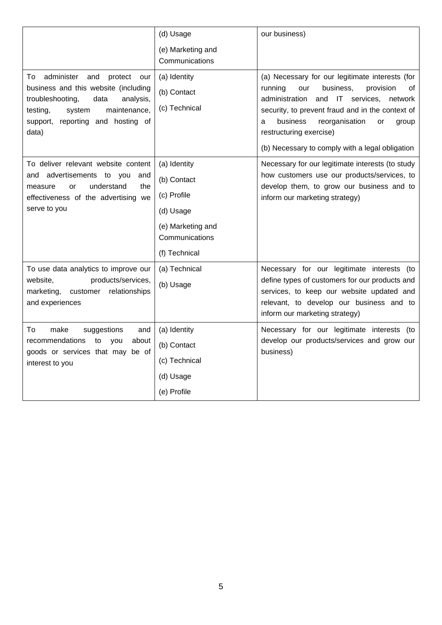|                                                                                                                                                                                                             | (d) Usage                                                                                                       | our business)                                                                                                                                                                                                                                                                                                                       |
|-------------------------------------------------------------------------------------------------------------------------------------------------------------------------------------------------------------|-----------------------------------------------------------------------------------------------------------------|-------------------------------------------------------------------------------------------------------------------------------------------------------------------------------------------------------------------------------------------------------------------------------------------------------------------------------------|
|                                                                                                                                                                                                             | (e) Marketing and<br>Communications                                                                             |                                                                                                                                                                                                                                                                                                                                     |
| administer<br>and<br>protect our<br>To<br>business and this website (including<br>troubleshooting,<br>data<br>analysis,<br>maintenance,<br>testing,<br>system<br>support, reporting and hosting of<br>data) | (a) Identity<br>(b) Contact<br>(c) Technical                                                                    | (a) Necessary for our legitimate interests (for<br>business,<br>provision<br>running<br>our<br>οf<br>administration and IT services,<br>network<br>security, to prevent fraud and in the context of<br>business<br>reorganisation<br>a<br>group<br>or<br>restructuring exercise)<br>(b) Necessary to comply with a legal obligation |
| To deliver relevant website content<br>and advertisements to you<br>and<br>understand<br>the<br>or<br>measure<br>effectiveness of the advertising we<br>serve to you                                        | (a) Identity<br>(b) Contact<br>(c) Profile<br>(d) Usage<br>(e) Marketing and<br>Communications<br>(f) Technical | Necessary for our legitimate interests (to study<br>how customers use our products/services, to<br>develop them, to grow our business and to<br>inform our marketing strategy)                                                                                                                                                      |
| To use data analytics to improve our<br>website,<br>products/services,<br>relationships<br>customer<br>marketing,<br>and experiences                                                                        | (a) Technical<br>(b) Usage                                                                                      | Necessary for our legitimate interests (to<br>define types of customers for our products and<br>services, to keep our website updated and<br>relevant, to develop our business and to<br>inform our marketing strategy)                                                                                                             |
| make<br>Т٥<br>suggestions<br>and<br>recommendations<br>to<br>about<br>you<br>goods or services that may be of<br>interest to you                                                                            | (a) Identity<br>(b) Contact<br>(c) Technical<br>(d) Usage<br>(e) Profile                                        | Necessary for our legitimate interests<br>(to<br>develop our products/services and grow our<br>business)                                                                                                                                                                                                                            |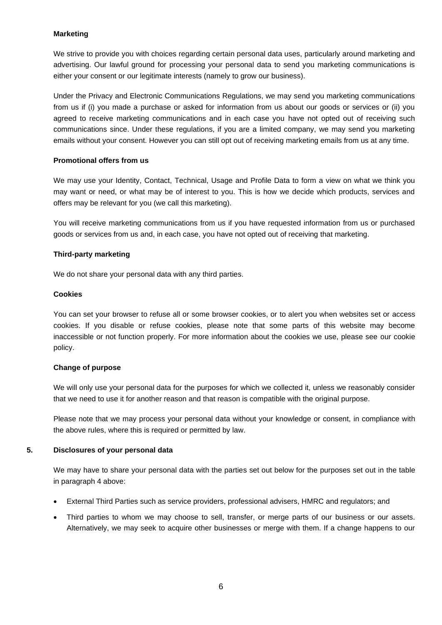# **Marketing**

We strive to provide you with choices regarding certain personal data uses, particularly around marketing and advertising. Our lawful ground for processing your personal data to send you marketing communications is either your consent or our legitimate interests (namely to grow our business).

Under the Privacy and Electronic Communications Regulations, we may send you marketing communications from us if (i) you made a purchase or asked for information from us about our goods or services or (ii) you agreed to receive marketing communications and in each case you have not opted out of receiving such communications since. Under these regulations, if you are a limited company, we may send you marketing emails without your consent. However you can still opt out of receiving marketing emails from us at any time.

## **Promotional offers from us**

We may use your Identity, Contact, Technical, Usage and Profile Data to form a view on what we think you may want or need, or what may be of interest to you. This is how we decide which products, services and offers may be relevant for you (we call this marketing).

You will receive marketing communications from us if you have requested information from us or purchased goods or services from us and, in each case, you have not opted out of receiving that marketing.

## **Third-party marketing**

We do not share your personal data with any third parties.

### **Cookies**

You can set your browser to refuse all or some browser cookies, or to alert you when websites set or access cookies. If you disable or refuse cookies, please note that some parts of this website may become inaccessible or not function properly. For more information about the cookies we use, please see our cookie policy.

#### **Change of purpose**

We will only use your personal data for the purposes for which we collected it, unless we reasonably consider that we need to use it for another reason and that reason is compatible with the original purpose.

Please note that we may process your personal data without your knowledge or consent, in compliance with the above rules, where this is required or permitted by law.

## **5. Disclosures of your personal data**

We may have to share your personal data with the parties set out below for the purposes set out in the table in paragraph 4 above:

- External Third Parties such as service providers, professional advisers, HMRC and regulators; and
- Third parties to whom we may choose to sell, transfer, or merge parts of our business or our assets. Alternatively, we may seek to acquire other businesses or merge with them. If a change happens to our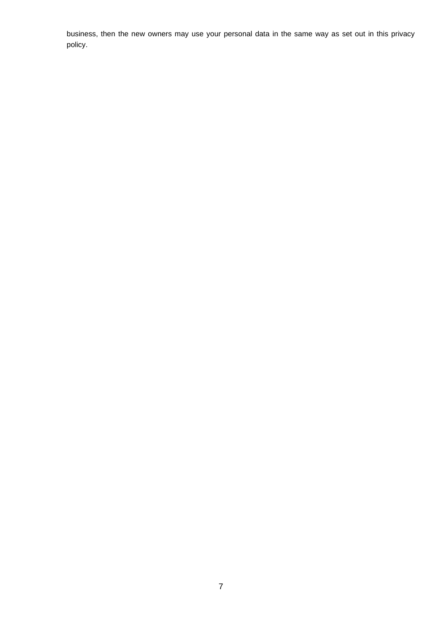business, then the new owners may use your personal data in the same way as set out in this privacy policy.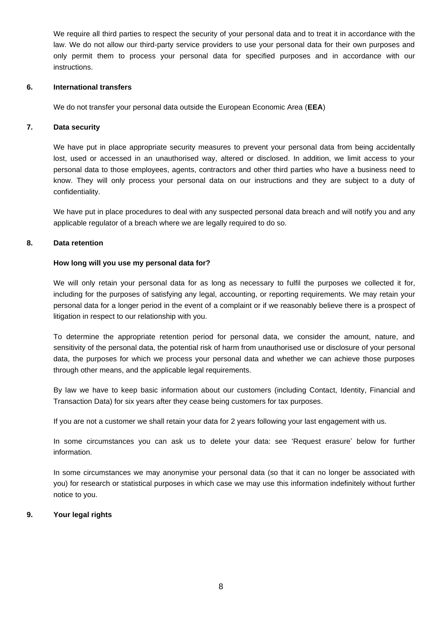We require all third parties to respect the security of your personal data and to treat it in accordance with the law. We do not allow our third-party service providers to use your personal data for their own purposes and only permit them to process your personal data for specified purposes and in accordance with our instructions.

### **6. International transfers**

We do not transfer your personal data outside the European Economic Area (**EEA**)

## **7. Data security**

We have put in place appropriate security measures to prevent your personal data from being accidentally lost, used or accessed in an unauthorised way, altered or disclosed. In addition, we limit access to your personal data to those employees, agents, contractors and other third parties who have a business need to know. They will only process your personal data on our instructions and they are subject to a duty of confidentiality.

We have put in place procedures to deal with any suspected personal data breach and will notify you and any applicable regulator of a breach where we are legally required to do so.

# **8. Data retention**

## **How long will you use my personal data for?**

We will only retain your personal data for as long as necessary to fulfil the purposes we collected it for, including for the purposes of satisfying any legal, accounting, or reporting requirements. We may retain your personal data for a longer period in the event of a complaint or if we reasonably believe there is a prospect of litigation in respect to our relationship with you.

To determine the appropriate retention period for personal data, we consider the amount, nature, and sensitivity of the personal data, the potential risk of harm from unauthorised use or disclosure of your personal data, the purposes for which we process your personal data and whether we can achieve those purposes through other means, and the applicable legal requirements.

By law we have to keep basic information about our customers (including Contact, Identity, Financial and Transaction Data) for six years after they cease being customers for tax purposes.

If you are not a customer we shall retain your data for 2 years following your last engagement with us.

In some circumstances you can ask us to delete your data: see 'Request erasure' below for further information.

In some circumstances we may anonymise your personal data (so that it can no longer be associated with you) for research or statistical purposes in which case we may use this information indefinitely without further notice to you.

# **9. Your legal rights**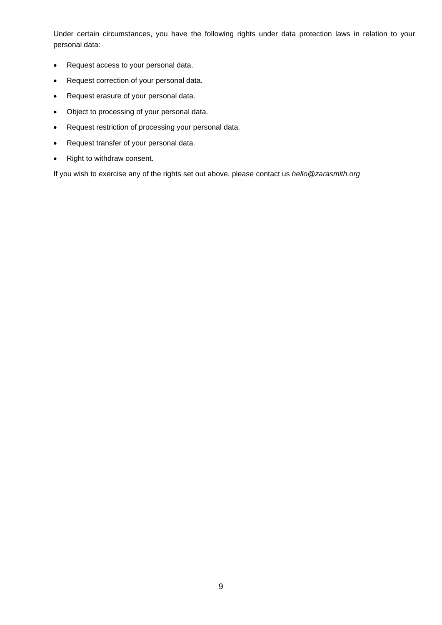Under certain circumstances, you have the following rights under data protection laws in relation to your personal data:

- Request access to your personal data.
- Request correction of your personal data.
- Request erasure of your personal data.
- Object to processing of your personal data.
- Request restriction of processing your personal data.
- Request transfer of your personal data.
- Right to withdraw consent.

If you wish to exercise any of the rights set out above, please [contact us](#page-1-0) *hello@zarasmith.org*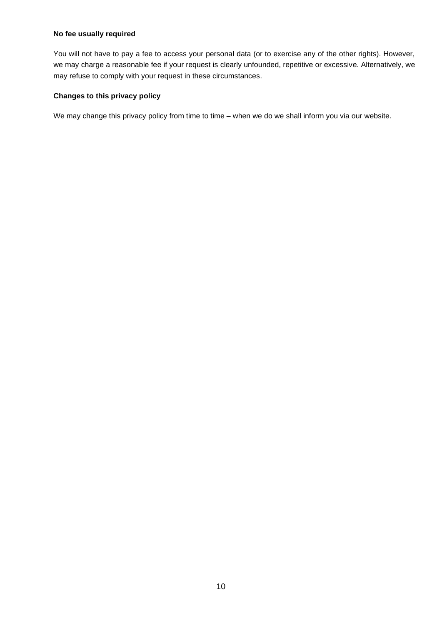## **No fee usually required**

You will not have to pay a fee to access your personal data (or to exercise any of the other rights). However, we may charge a reasonable fee if your request is clearly unfounded, repetitive or excessive. Alternatively, we may refuse to comply with your request in these circumstances.

# **Changes to this privacy policy**

We may change this privacy policy from time to time – when we do we shall inform you via our website.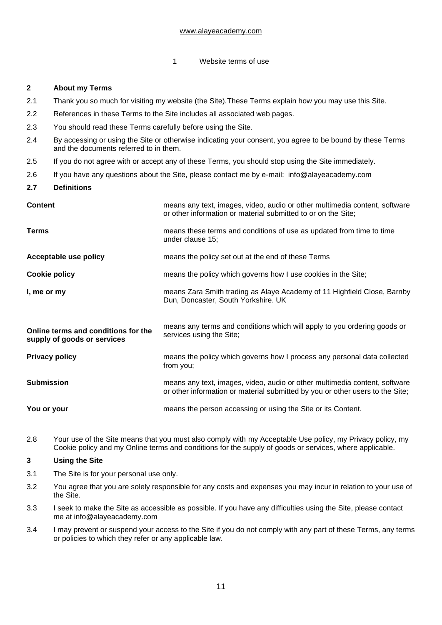#### [www.alayea](http://www.zarasmith.org/)cademy.com

1 Website terms of use

### **2 About my Terms**

- 2.1 Thank you so much for visiting my website (the Site).These Terms explain how you may use this Site.
- 2.2 References in these Terms to the Site includes all associated web pages.
- 2.3 You should read these Terms carefully before using the Site.
- 2.4 By accessing or using the Site or otherwise indicating your consent, you agree to be bound by these Terms and the documents referred to in them.
- 2.5 If you do not agree with or accept any of these Terms, you should stop using the Site immediately.
- 2.6 If you have any questions about the Site, please contact me by e-mail: info@alayeacademy.com

### **2.7 Definitions**

| <b>Content</b>                                                     | means any text, images, video, audio or other multimedia content, software<br>or other information or material submitted to or on the Site;                 |
|--------------------------------------------------------------------|-------------------------------------------------------------------------------------------------------------------------------------------------------------|
| Terms                                                              | means these terms and conditions of use as updated from time to time<br>under clause 15;                                                                    |
| Acceptable use policy                                              | means the policy set out at the end of these Terms                                                                                                          |
| <b>Cookie policy</b>                                               | means the policy which governs how I use cookies in the Site;                                                                                               |
| I, me or my                                                        | means Zara Smith trading as Alaye Academy of 11 Highfield Close, Barnby<br>Dun, Doncaster, South Yorkshire. UK                                              |
|                                                                    |                                                                                                                                                             |
| Online terms and conditions for the<br>supply of goods or services | means any terms and conditions which will apply to you ordering goods or<br>services using the Site;                                                        |
| <b>Privacy policy</b>                                              | means the policy which governs how I process any personal data collected<br>from you;                                                                       |
| <b>Submission</b>                                                  | means any text, images, video, audio or other multimedia content, software<br>or other information or material submitted by you or other users to the Site; |

2.8 Your use of the Site means that you must also comply with my Acceptable Use policy, my Privacy policy, my Cookie policy and my Online terms and conditions for the supply of goods or services, where applicable.

### **3 Using the Site**

- 3.1 The Site is for your personal use only.
- 3.2 You agree that you are solely responsible for any costs and expenses you may incur in relation to your use of the Site.
- 3.3 I seek to make the Site as accessible as possible. If you have any difficulties using the Site, please contact me at info@alayeacademy.com
- 3.4 I may prevent or suspend your access to the Site if you do not comply with any part of these Terms, any terms or policies to which they refer or any applicable law.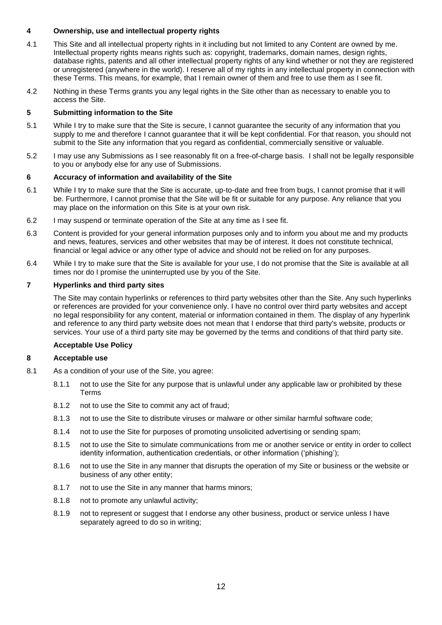## **4 Ownership, use and intellectual property rights**

- 4.1 This Site and all intellectual property rights in it including but not limited to any Content are owned by me. Intellectual property rights means rights such as: copyright, trademarks, domain names, design rights, database rights, patents and all other intellectual property rights of any kind whether or not they are registered or unregistered (anywhere in the world). I reserve all of my rights in any intellectual property in connection with these Terms. This means, for example, that I remain owner of them and free to use them as I see fit.
- 4.2 Nothing in these Terms grants you any legal rights in the Site other than as necessary to enable you to access the Site.

## **5 Submitting information to the Site**

- 5.1 While I try to make sure that the Site is secure, I cannot guarantee the security of any information that you supply to me and therefore I cannot quarantee that it will be kept confidential. For that reason, you should not submit to the Site any information that you regard as confidential, commercially sensitive or valuable.
- 5.2 I may use any Submissions as I see reasonably fit on a free-of-charge basis. I shall not be legally responsible to you or anybody else for any use of Submissions.

## **6 Accuracy of information and availability of the Site**

- 6.1 While I try to make sure that the Site is accurate, up-to-date and free from bugs, I cannot promise that it will be. Furthermore, I cannot promise that the Site will be fit or suitable for any purpose. Any reliance that you may place on the information on this Site is at your own risk.
- 6.2 I may suspend or terminate operation of the Site at any time as I see fit.
- 6.3 Content is provided for your general information purposes only and to inform you about me and my products and news, features, services and other websites that may be of interest. It does not constitute technical, financial or legal advice or any other type of advice and should not be relied on for any purposes.
- 6.4 While I try to make sure that the Site is available for your use, I do not promise that the Site is available at all times nor do I promise the uninterrupted use by you of the Site.

### **7 Hyperlinks and third party sites**

The Site may contain hyperlinks or references to third party websites other than the Site. Any such hyperlinks or references are provided for your convenience only. I have no control over third party websites and accept no legal responsibility for any content, material or information contained in them. The display of any hyperlink and reference to any third party website does not mean that I endorse that third party's website, products or services. Your use of a third party site may be governed by the terms and conditions of that third party site.

## **Acceptable Use Policy**

## **8 Acceptable use**

- 8.1 As a condition of your use of the Site, you agree:
	- 8.1.1 not to use the Site for any purpose that is unlawful under any applicable law or prohibited by these Terms
	- 8.1.2 not to use the Site to commit any act of fraud;
	- 8.1.3 not to use the Site to distribute viruses or malware or other similar harmful software code;
	- 8.1.4 not to use the Site for purposes of promoting unsolicited advertising or sending spam;
	- 8.1.5 not to use the Site to simulate communications from me or another service or entity in order to collect identity information, authentication credentials, or other information ('phishing');
	- 8.1.6 not to use the Site in any manner that disrupts the operation of my Site or business or the website or business of any other entity;
	- 8.1.7 not to use the Site in any manner that harms minors;
	- 8.1.8 not to promote any unlawful activity;
	- 8.1.9 not to represent or suggest that I endorse any other business, product or service unless I have separately agreed to do so in writing;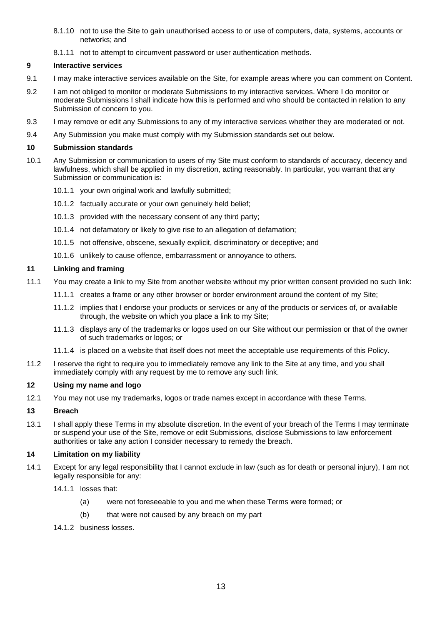- 8.1.10 not to use the Site to gain unauthorised access to or use of computers, data, systems, accounts or networks; and
- 8.1.11 not to attempt to circumvent password or user authentication methods.

# **9 Interactive services**

- 9.1 I may make interactive services available on the Site, for example areas where you can comment on Content.
- 9.2 I am not obliged to monitor or moderate Submissions to my interactive services. Where I do monitor or moderate Submissions I shall indicate how this is performed and who should be contacted in relation to any Submission of concern to you.
- 9.3 I may remove or edit any Submissions to any of my interactive services whether they are moderated or not.
- 9.4 Any Submission you make must comply with my Submission standards set out below.

# **10 Submission standards**

- 10.1 Any Submission or communication to users of my Site must conform to standards of accuracy, decency and lawfulness, which shall be applied in my discretion, acting reasonably. In particular, you warrant that any Submission or communication is:
	- 10.1.1 your own original work and lawfully submitted;
	- 10.1.2 factually accurate or your own genuinely held belief;
	- 10.1.3 provided with the necessary consent of any third party;
	- 10.1.4 not defamatory or likely to give rise to an allegation of defamation;
	- 10.1.5 not offensive, obscene, sexually explicit, discriminatory or deceptive; and
	- 10.1.6 unlikely to cause offence, embarrassment or annoyance to others.

# **11 Linking and framing**

- 11.1 You may create a link to my Site from another website without my prior written consent provided no such link:
	- 11.1.1 creates a frame or any other browser or border environment around the content of my Site;
	- 11.1.2 implies that I endorse your products or services or any of the products or services of, or available through, the website on which you place a link to my Site;
	- 11.1.3 displays any of the trademarks or logos used on our Site without our permission or that of the owner of such trademarks or logos; or
	- 11.1.4 is placed on a website that itself does not meet the acceptable use requirements of this Policy.
- 11.2 I reserve the right to require you to immediately remove any link to the Site at any time, and you shall immediately comply with any request by me to remove any such link.

## **12 Using my name and logo**

12.1 You may not use my trademarks, logos or trade names except in accordance with these Terms.

# **13 Breach**

13.1 I shall apply these Terms in my absolute discretion. In the event of your breach of the Terms I may terminate or suspend your use of the Site, remove or edit Submissions, disclose Submissions to law enforcement authorities or take any action I consider necessary to remedy the breach.

# **14 Limitation on my liability**

- 14.1 Except for any legal responsibility that I cannot exclude in law (such as for death or personal injury), I am not legally responsible for any:
	- 14.1.1 losses that:
		- (a) were not foreseeable to you and me when these Terms were formed; or
		- (b) that were not caused by any breach on my part
	- 14.1.2 business losses.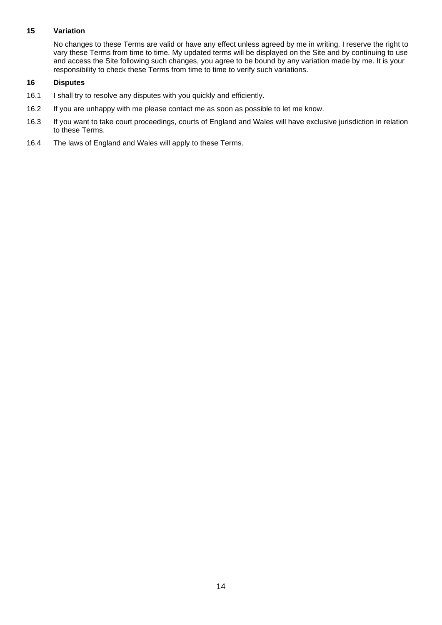## <span id="page-13-0"></span>**15 Variation**

No changes to these Terms are valid or have any effect unless agreed by me in writing. I reserve the right to vary these Terms from time to time. My updated terms will be displayed on the Site and by continuing to use and access the Site following such changes, you agree to be bound by any variation made by me. It is your responsibility to check these Terms from time to time to verify such variations.

## **16 Disputes**

- 16.1 I shall try to resolve any disputes with you quickly and efficiently.
- 16.2 If you are unhappy with me please contact me as soon as possible to let me know.
- 16.3 If you want to take court proceedings, courts of England and Wales will have exclusive jurisdiction in relation to these Terms.
- 16.4 The laws of England and Wales will apply to these Terms.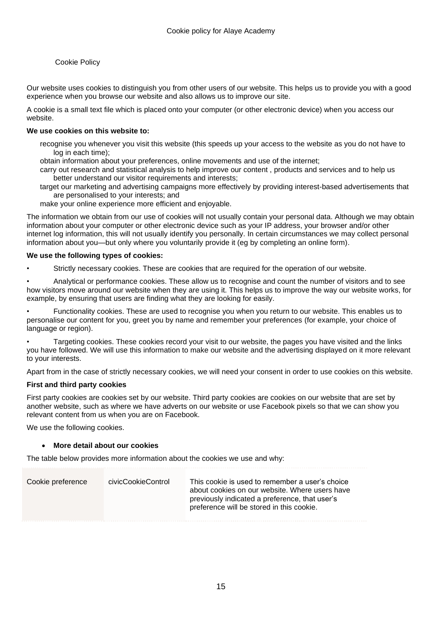# Cookie Policy

Our website uses cookies to distinguish you from other users of our website. This helps us to provide you with a good experience when you browse our website and also allows us to improve our site.

A cookie is a small text file which is placed onto your computer (or other electronic device) when you access our website.

### **We use cookies on this website to:**

recognise you whenever you visit this website (this speeds up your access to the website as you do not have to log in each time);

obtain information about your preferences, online movements and use of the internet;

carry out research and statistical analysis to help improve our content , products and services and to help us better understand our visitor requirements and interests;

target our marketing and advertising campaigns more effectively by providing interest-based advertisements that are personalised to your interests; and

make your online experience more efficient and enjoyable.

The information we obtain from our use of cookies will not usually contain your personal data. Although we may obtain information about your computer or other electronic device such as your IP address, your browser and/or other internet log information, this will not usually identify you personally. In certain circumstances we may collect personal information about you—but only where you voluntarily provide it (eg by completing an online form).

## **We use the following types of cookies:**

Strictly necessary cookies. These are cookies that are required for the operation of our website.

Analytical or performance cookies. These allow us to recognise and count the number of visitors and to see how visitors move around our website when they are using it. This helps us to improve the way our website works, for example, by ensuring that users are finding what they are looking for easily.

• Functionality cookies. These are used to recognise you when you return to our website. This enables us to personalise our content for you, greet you by name and remember your preferences (for example, your choice of language or region).

• Targeting cookies. These cookies record your visit to our website, the pages you have visited and the links you have followed. We will use this information to make our website and the advertising displayed on it more relevant to your interests.

Apart from in the case of strictly necessary cookies, we will need your consent in order to use cookies on this website.

## **First and third party cookies**

First party cookies are cookies set by our website. Third party cookies are cookies on our website that are set by another website, such as where we have adverts on our website or use Facebook pixels so that we can show you relevant content from us when you are on Facebook.

We use the following cookies.

## • **More detail about our cookies**

The table below provides more information about the cookies we use and why:

| Cookie preference | civicCookieControl | This cookie is used to remember a user's choice<br>about cookies on our website. Where users have<br>previously indicated a preference, that user's<br>preference will be stored in this cookie. |
|-------------------|--------------------|--------------------------------------------------------------------------------------------------------------------------------------------------------------------------------------------------|
|                   |                    |                                                                                                                                                                                                  |